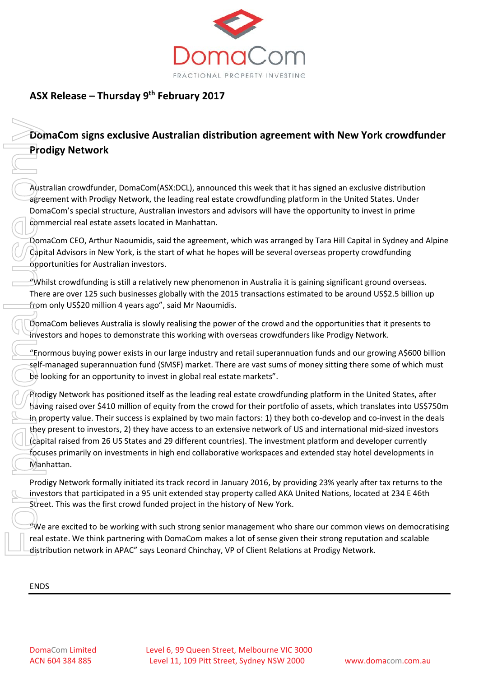

# **ASX Release – Thursday 9th February 2017**

## **DomaCom signs exclusive Australian distribution agreement with New York crowdfunder Prodigy Network**

Australian crowdfunder, DomaCom(ASX:DCL), announced this week that it has signed an exclusive distribution agreement with Prodigy Network, the leading real estate crowdfunding platform in the United States. Under DomaCom's special structure, Australian investors and advisors will have the opportunity to invest in prime commercial real estate assets located in Manhattan.

DomaCom CEO, Arthur Naoumidis, said the agreement, which was arranged by Tara Hill Capital in Sydney and Alpine Capital Advisors in New York, is the start of what he hopes will be several overseas property crowdfunding opportunities for Australian investors.

"Whilst crowdfunding is still a relatively new phenomenon in Australia it is gaining significant ground overseas. There are over 125 such businesses globally with the 2015 transactions estimated to be around US\$2.5 billion up from only US\$20 million 4 years ago", said Mr Naoumidis.

DomaCom believes Australia is slowly realising the power of the crowd and the opportunities that it presents to investors and hopes to demonstrate this working with overseas crowdfunders like Prodigy Network.

"Enormous buying power exists in our large industry and retail superannuation funds and our growing A\$600 billion self-managed superannuation fund (SMSF) market. There are vast sums of money sitting there some of which must be looking for an opportunity to invest in global real estate markets".

Prodigy Network has positioned itself as the leading real estate crowdfunding platform in the United States, after having raised over \$410 million of equity from the crowd for their portfolio of assets, which translates into US\$750m in property value. Their success is explained by two main factors: 1) they both co-develop and co-invest in the deals they present to investors, 2) they have access to an extensive network of US and international mid-sized investors (capital raised from 26 US States and 29 different countries). The investment platform and developer currently focuses primarily on investments in high end collaborative workspaces and extended stay hotel developments in Manhattan. ENDSFor personal use only

Prodigy Network formally initiated its track record in January 2016, by providing 23% yearly after tax returns to the investors that participated in a 95 unit extended stay property called AKA United Nations, located at 234 E 46th Street. This was the first crowd funded project in the history of New York.

"We are excited to be working with such strong senior management who share our common views on democratising real estate. We think partnering with DomaCom makes a lot of sense given their strong reputation and scalable distribution network in APAC" says Leonard Chinchay, VP of Client Relations at Prodigy Network.

**ENDS**